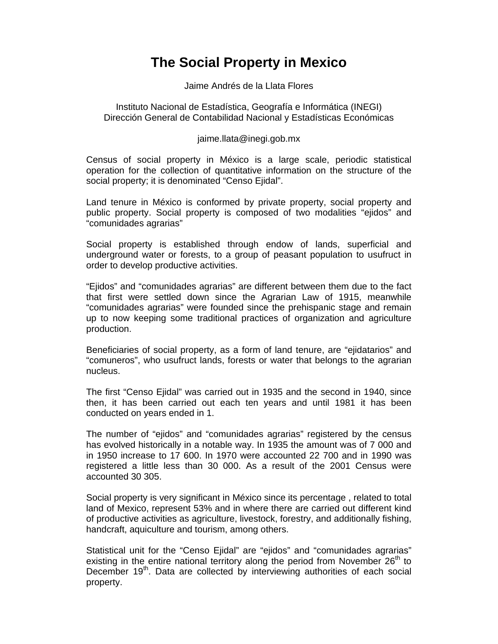## **The Social Property in Mexico**

Jaime Andrés de la Llata Flores

Instituto Nacional de Estadística, Geografía e Informática (INEGI) Dirección General de Contabilidad Nacional y Estadísticas Económicas

jaime.llata@inegi.gob.mx

Census of social property in México is a large scale, periodic statistical operation for the collection of quantitative information on the structure of the social property; it is denominated "Censo Ejidal".

Land tenure in México is conformed by private property, social property and public property. Social property is composed of two modalities "ejidos" and "comunidades agrarias"

Social property is established through endow of lands, superficial and underground water or forests, to a group of peasant population to usufruct in order to develop productive activities.

"Ejidos" and "comunidades agrarias" are different between them due to the fact that first were settled down since the Agrarian Law of 1915, meanwhile "comunidades agrarias" were founded since the prehispanic stage and remain up to now keeping some traditional practices of organization and agriculture production.

Beneficiaries of social property, as a form of land tenure, are "ejidatarios" and "comuneros", who usufruct lands, forests or water that belongs to the agrarian nucleus.

The first "Censo Ejidal" was carried out in 1935 and the second in 1940, since then, it has been carried out each ten years and until 1981 it has been conducted on years ended in 1.

The number of "ejidos" and "comunidades agrarias" registered by the census has evolved historically in a notable way. In 1935 the amount was of 7 000 and in 1950 increase to 17 600. In 1970 were accounted 22 700 and in 1990 was registered a little less than 30 000. As a result of the 2001 Census were accounted 30 305.

Social property is very significant in México since its percentage , related to total land of Mexico, represent 53% and in where there are carried out different kind of productive activities as agriculture, livestock, forestry, and additionally fishing, handcraft, aquiculture and tourism, among others.

Statistical unit for the "Censo Ejidal" are "ejidos" and "comunidades agrarias" existing in the entire national territory along the period from November  $26<sup>th</sup>$  to December 19<sup>th</sup>. Data are collected by interviewing authorities of each social property.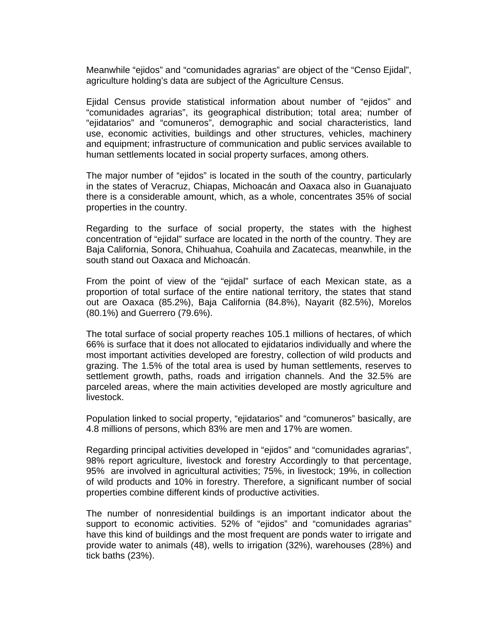Meanwhile "ejidos" and "comunidades agrarias" are object of the "Censo Ejidal", agriculture holding's data are subject of the Agriculture Census.

Ejidal Census provide statistical information about number of "ejidos" and "comunidades agrarias", its geographical distribution; total area; number of "ejidatarios" and "comuneros", demographic and social characteristics, land use, economic activities, buildings and other structures, vehicles, machinery and equipment; infrastructure of communication and public services available to human settlements located in social property surfaces, among others.

The major number of "ejidos" is located in the south of the country, particularly in the states of Veracruz, Chiapas, Michoacán and Oaxaca also in Guanajuato there is a considerable amount, which, as a whole, concentrates 35% of social properties in the country.

Regarding to the surface of social property, the states with the highest concentration of "ejidal" surface are located in the north of the country. They are Baja California, Sonora, Chihuahua, Coahuila and Zacatecas, meanwhile, in the south stand out Oaxaca and Michoacán.

From the point of view of the "ejidal" surface of each Mexican state, as a proportion of total surface of the entire national territory, the states that stand out are Oaxaca (85.2%), Baja California (84.8%), Nayarit (82.5%), Morelos (80.1%) and Guerrero (79.6%).

The total surface of social property reaches 105.1 millions of hectares, of which 66% is surface that it does not allocated to ejidatarios individually and where the most important activities developed are forestry, collection of wild products and grazing. The 1.5% of the total area is used by human settlements, reserves to settlement growth, paths, roads and irrigation channels. And the 32.5% are parceled areas, where the main activities developed are mostly agriculture and livestock.

Population linked to social property, "ejidatarios" and "comuneros" basically, are 4.8 millions of persons, which 83% are men and 17% are women.

Regarding principal activities developed in "ejidos" and "comunidades agrarias", 98% report agriculture, livestock and forestry Accordingly to that percentage, 95% are involved in agricultural activities; 75%, in livestock; 19%, in collection of wild products and 10% in forestry. Therefore, a significant number of social properties combine different kinds of productive activities.

The number of nonresidential buildings is an important indicator about the support to economic activities. 52% of "ejidos" and "comunidades agrarias" have this kind of buildings and the most frequent are ponds water to irrigate and provide water to animals (48), wells to irrigation (32%), warehouses (28%) and tick baths (23%).